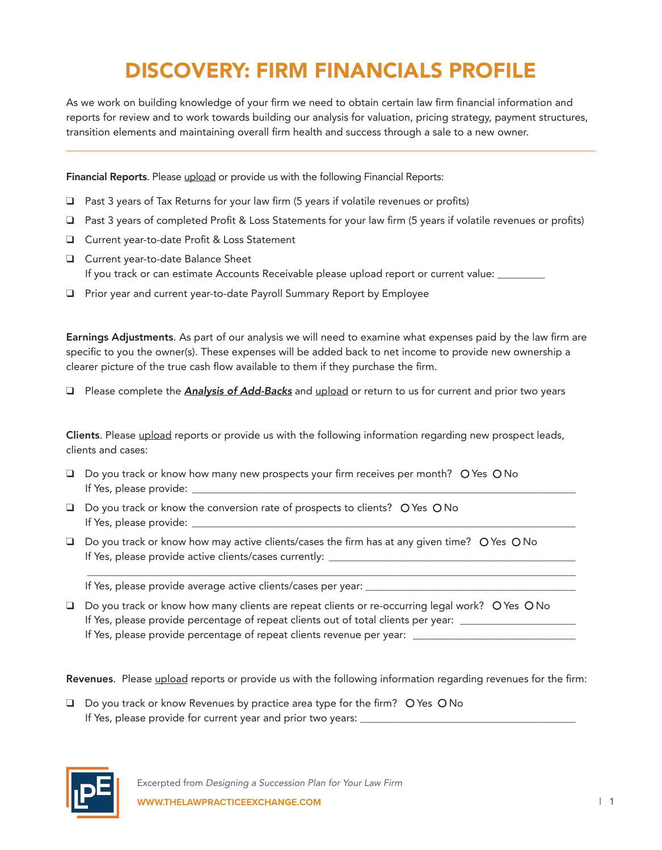## DISCOVERY: FIRM FINANCIALS PROFILE

As we work on building knowledge of your firm we need to obtain certain law firm financial information and reports for review and to work towards building our analysis for valuation, pricing strategy, payment structures, transition elements and maintaining overall firm health and success through a sale to a new owner.

Financial Reports. Please upload or provide us with the following Financial Reports:

- $\Box$  Past 3 years of Tax Returns for your law firm (5 years if volatile revenues or profits)
- $\Box$  Past 3 years of completed Profit & Loss Statements for your law firm (5 years if volatile revenues or profits)
- □ Current year-to-date Profit & Loss Statement
- **Q** Current year-to-date Balance Sheet If you track or can estimate Accounts Receivable please upload report or current value: \_\_\_\_\_\_\_\_
- $\Box$  Prior year and current year-to-date Payroll Summary Report by Employee

Earnings Adjustments. As part of our analysis we will need to examine what expenses paid by the law firm are specific to you the owner(s). These expenses will be added back to net income to provide new ownership a clearer picture of the true cash flow available to them if they purchase the firm.

**Q** Please complete the **Analysis of Add-Backs** and upload or return to us for current and prior two years

Clients. Please upload reports or provide us with the following information regarding new prospect leads, clients and cases:

- □ Do you track or know how many new prospects your firm receives per month? O Yes O No If Yes, please provide: \_\_\_\_\_\_\_\_\_\_\_\_\_\_\_\_\_\_\_\_\_\_\_\_\_\_\_\_\_\_\_\_\_\_\_\_\_\_\_\_\_\_\_\_\_\_\_\_\_\_\_\_\_\_\_\_\_\_\_\_\_\_\_\_\_\_\_\_\_\_\_\_\_
- $\Box$  Do you track or know the conversion rate of prospects to clients?  $\bigcirc$  Yes  $\bigcirc$  No If Yes, please provide: \_
- $\Box$  Do you track or know how may active clients/cases the firm has at any given time? O Yes O No If Yes, please provide active clients/cases currently:

If Yes, please provide average active clients/cases per year: \_\_\_\_\_\_\_\_\_\_\_\_\_\_\_\_\_\_

 $\Box$  Do you track or know how many clients are repeat clients or re-occurring legal work? O Yes O No If Yes, please provide percentage of repeat clients out of total clients per year: \_\_\_\_\_\_\_\_\_\_\_\_\_\_\_\_\_\_\_\_\_\_\_\_\_\_\_ If Yes, please provide percentage of repeat clients revenue per year: \_\_\_\_\_\_\_\_\_\_

\_\_\_\_\_\_\_\_\_\_\_\_\_\_\_\_\_\_\_\_\_\_\_\_\_\_\_\_\_\_\_\_\_\_\_\_\_\_\_\_\_\_\_\_\_\_\_\_\_\_\_\_\_\_\_\_\_\_\_\_\_\_\_\_\_\_\_\_\_\_\_\_\_\_\_\_\_\_\_\_\_\_\_\_\_\_\_\_\_\_\_\_\_

Revenues. Please upload reports or provide us with the following information regarding revenues for the firm:

 $\Box$  Do you track or know Revenues by practice area type for the firm? O Yes O No If Yes, please provide for current year and prior two years: \_\_\_\_\_\_\_\_\_\_\_\_\_\_\_\_\_\_\_

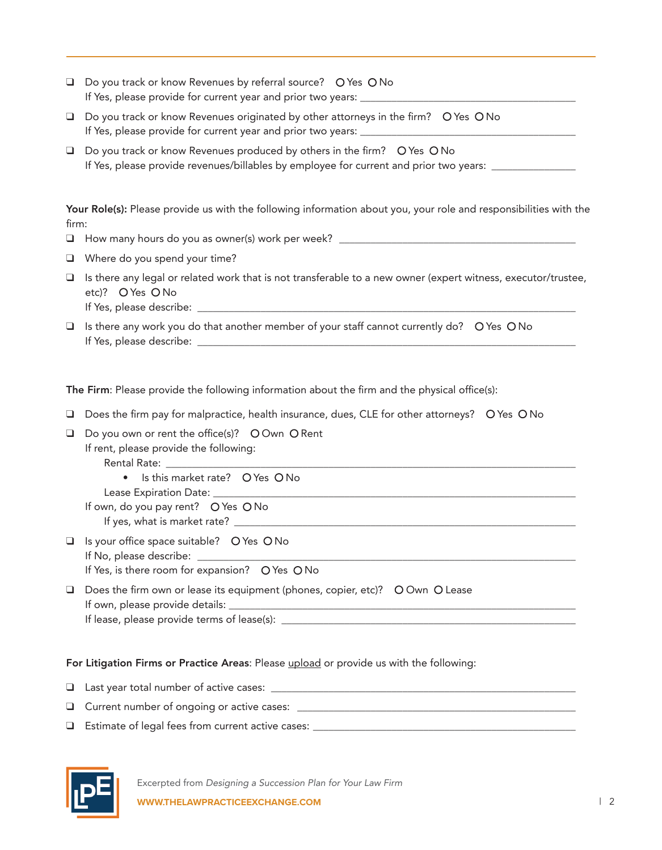| ❏      | Do you track or know Revenues by referral source? O Yes O No<br>If Yes, please provide for current year and prior two years: _____                                       |  |  |
|--------|--------------------------------------------------------------------------------------------------------------------------------------------------------------------------|--|--|
| $\Box$ | Do you track or know Revenues originated by other attorneys in the firm? O Yes O No<br>If Yes, please provide for current year and prior two years: ________             |  |  |
| $\Box$ | Do you track or know Revenues produced by others in the firm? O Yes O No<br>If Yes, please provide revenues/billables by employee for current and prior two years: _____ |  |  |
| firm:  | Your Role(s): Please provide us with the following information about you, your role and responsibilities with the                                                        |  |  |
|        | $\Box$ How many hours do you as owner(s) work per week? _____                                                                                                            |  |  |
|        | $\Box$ Where do you spend your time?                                                                                                                                     |  |  |
|        | □ Is there any legal or related work that is not transferable to a new owner (expert witness, executor/trustee,<br>etc)? O Yes O No                                      |  |  |

- If Yes, please describe: \_\_\_\_\_\_\_\_\_\_\_\_\_\_\_\_\_\_\_\_\_\_\_\_\_\_\_\_\_\_\_\_\_\_\_\_\_\_\_\_\_\_\_\_\_\_\_\_\_\_\_\_\_\_\_\_\_\_\_\_\_\_\_\_\_\_\_\_\_\_\_\_
- $\Box$  Is there any work you do that another member of your staff cannot currently do?  $\bigcirc$  Yes  $\bigcirc$  No If Yes, please describe: \_\_\_\_\_\_\_\_\_\_\_\_\_\_\_\_\_\_\_\_\_\_\_\_\_\_\_\_\_\_\_\_\_\_\_\_\_\_\_\_\_\_\_\_\_\_\_\_\_\_\_\_\_\_\_\_\_\_\_\_\_\_\_\_\_\_\_\_\_\_\_\_

The Firm: Please provide the following information about the firm and the physical office(s):

- $\Box$  Does the firm pay for malpractice, health insurance, dues, CLE for other attorneys?  $\bigcirc$  Yes  $\bigcirc$  No
- $\Box$  Do you own or rent the office(s)? O Own O Rent

If rent, please provide the following:

Rental Rate: \_\_\_\_\_\_\_\_\_\_\_\_\_\_\_\_\_\_\_\_\_\_\_\_\_\_\_\_\_\_\_\_\_\_\_\_\_\_\_\_\_\_\_\_\_\_\_\_\_\_\_\_\_\_\_\_\_\_\_\_\_\_\_\_\_\_\_\_\_\_\_\_\_\_\_\_\_\_

- $\bullet$  Is this market rate?  $\circ$  Yes  $\circ$  No
- Lease Expiration Date:
- If own, do you pay rent?  $O$  Yes  $O$  No If yes, what is market rate?  $\sqrt{2}$

 $\Box$  Is your office space suitable? O Yes O No If No, please describe: If Yes, is there room for expansion?  $O$  Yes  $O$  No

 $\Box$  Does the firm own or lease its equipment (phones, copier, etc)?  $\bigcirc$  Own  $\bigcirc$  Lease If own, please provide details: \_\_\_\_\_\_\_\_\_\_\_\_\_\_\_\_\_\_\_\_\_\_\_\_\_\_\_\_\_\_\_\_\_\_\_\_\_\_\_\_\_\_\_\_\_\_\_\_\_\_\_\_\_\_\_\_\_\_\_\_\_\_\_\_\_\_ If lease, please provide terms of lease(s): \_\_\_\_\_\_\_\_\_\_\_\_\_\_\_\_\_\_\_\_\_\_\_\_\_\_\_\_\_\_\_\_\_\_\_\_\_\_\_\_\_\_\_\_\_\_\_\_\_\_\_\_\_\_\_\_

## For Litigation Firms or Practice Areas: Please upload or provide us with the following:

q Last year total number of active cases: \_\_\_\_\_\_\_\_\_\_\_\_\_\_\_\_\_\_\_\_\_\_\_\_\_\_\_\_\_\_\_\_\_\_\_\_\_\_\_\_\_\_\_\_\_\_\_\_\_\_\_\_\_\_\_\_\_\_

- q Current number of ongoing or active cases: \_\_\_\_\_\_\_\_\_\_\_\_\_\_\_\_\_\_\_\_\_\_\_\_\_\_\_\_\_\_\_\_\_\_\_\_\_\_\_\_\_\_\_\_\_\_\_\_\_\_\_\_\_
- $\Box$  Estimate of legal fees from current active cases:  $\Box$